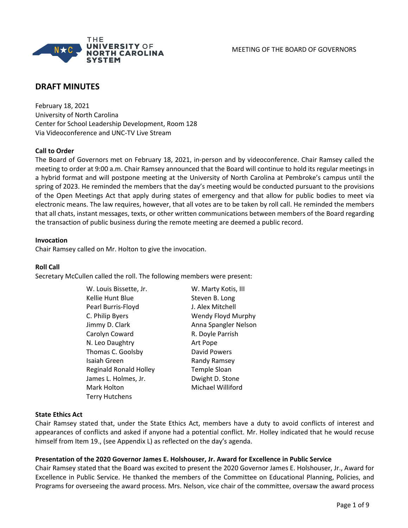

# **DRAFT MINUTES**

February 18, 2021 University of North Carolina Center for School Leadership Development, Room 128 Via Videoconference and UNC-TV Live Stream

## **Call to Order**

The Board of Governors met on February 18, 2021, in-person and by videoconference. Chair Ramsey called the meeting to order at 9:00 a.m. Chair Ramsey announced that the Board will continue to hold its regular meetings in a hybrid format and will postpone meeting at the University of North Carolina at Pembroke's campus until the spring of 2023. He reminded the members that the day's meeting would be conducted pursuant to the provisions of the Open Meetings Act that apply during states of emergency and that allow for public bodies to meet via electronic means. The law requires, however, that all votes are to be taken by roll call. He reminded the members that all chats, instant messages, texts, or other written communications between members of the Board regarding the transaction of public business during the remote meeting are deemed a public record.

### **Invocation**

Chair Ramsey called on Mr. Holton to give the invocation.

### **Roll Call**

Secretary McCullen called the roll. The following members were present:

| W. Louis Bissette, Jr.        | W. Marty Kotis, III  |
|-------------------------------|----------------------|
| Kellie Hunt Blue              | Steven B. Long       |
| Pearl Burris-Floyd            | J. Alex Mitchell     |
| C. Philip Byers               | Wendy Floyd Murphy   |
| Jimmy D. Clark                | Anna Spangler Nelson |
| Carolyn Coward                | R. Doyle Parrish     |
| N. Leo Daughtry               | Art Pope             |
| Thomas C. Goolsby             | David Powers         |
| Isaiah Green                  | Randy Ramsey         |
| <b>Reginald Ronald Holley</b> | <b>Temple Sloan</b>  |
| James L. Holmes, Jr.          | Dwight D. Stone      |
| Mark Holton                   | Michael Williford    |
| <b>Terry Hutchens</b>         |                      |

## **State Ethics Act**

Chair Ramsey stated that, under the State Ethics Act, members have a duty to avoid conflicts of interest and appearances of conflicts and asked if anyone had a potential conflict. Mr. Holley indicated that he would recuse himself from Item 19., (see Appendix L) as reflected on the day's agenda.

## **Presentation of the 2020 Governor James E. Holshouser, Jr. Award for Excellence in Public Service**

Chair Ramsey stated that the Board was excited to present the 2020 Governor James E. Holshouser, Jr., Award for Excellence in Public Service. He thanked the members of the Committee on Educational Planning, Policies, and Programs for overseeing the award process. Mrs. Nelson, vice chair of the committee, oversaw the award process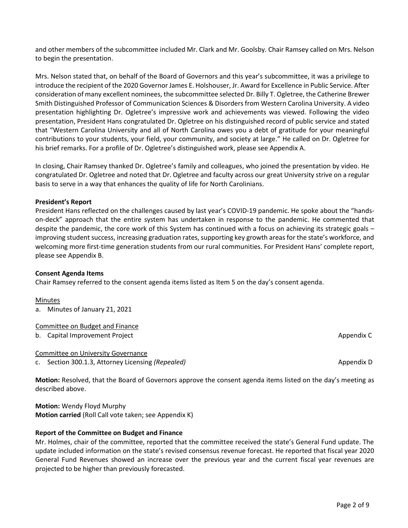and other members of the subcommittee included Mr. Clark and Mr. Goolsby. Chair Ramsey called on Mrs. Nelson

Mrs. Nelson stated that, on behalf of the Board of Governors and this year's subcommittee, it was a privilege to introduce the recipient of the 2020 Governor James E. Holshouser, Jr. Award for Excellence in Public Service. After consideration of many excellent nominees, the subcommittee selected Dr. Billy T. Ogletree, the Catherine Brewer Smith Distinguished Professor of Communication Sciences & Disorders from Western Carolina University. A video presentation highlighting Dr. Ogletree's impressive work and achievements was viewed. Following the video presentation, President Hans congratulated Dr. Ogletree on his distinguished record of public service and stated that "Western Carolina University and all of North Carolina owes you a debt of gratitude for your meaningful contributions to your students, your field, your community, and society at large." He called on Dr. Ogletree for his brief remarks. For a profile of Dr. Ogletree's distinguished work, please see Appendix A.

In closing, Chair Ramsey thanked Dr. Ogletree's family and colleagues, who joined the presentation by video. He congratulated Dr. Ogletree and noted that Dr. Ogletree and faculty across our great University strive on a regular basis to serve in a way that enhances the quality of life for North Carolinians.

#### **President's Report**

President Hans reflected on the challenges caused by last year's COVID-19 pandemic. He spoke about the "handson-deck" approach that the entire system has undertaken in response to the pandemic. He commented that despite the pandemic, the core work of this System has continued with a focus on achieving its strategic goals – improving student success, increasing graduation rates, supporting key growth areas for the state's workforce, and welcoming more first-time generation students from our rural communities. For President Hans' complete report, please see Appendix B.

## **Consent Agenda Items**

Chair Ramsey referred to the consent agenda items listed as Item 5 on the day's consent agenda.

#### Minutes

a. Minutes of January 21, 2021

### Committee on Budget and Finance

b. Capital Improvement Project Appendix Communications and the entries of the entries of the entries of the entries of the entries of the entries of the entries of the entries of the entries of the entries of the entries o

Committee on University Governance

c. Section 300.1.3, Attorney Licensing *(Repealed)* Appendix D and Constantine Constantine Appendix D

**Motion:** Resolved, that the Board of Governors approve the consent agenda items listed on the day's meeting as described above.

**Motion:** Wendy Floyd Murphy **Motion carried** (Roll Call vote taken; see Appendix K)

## **Report of the Committee on Budget and Finance**

Mr. Holmes, chair of the committee, reported that the committee received the state's General Fund update. The update included information on the state's revised consensus revenue forecast. He reported that fiscal year 2020 General Fund Revenues showed an increase over the previous year and the current fiscal year revenues are projected to be higher than previously forecasted.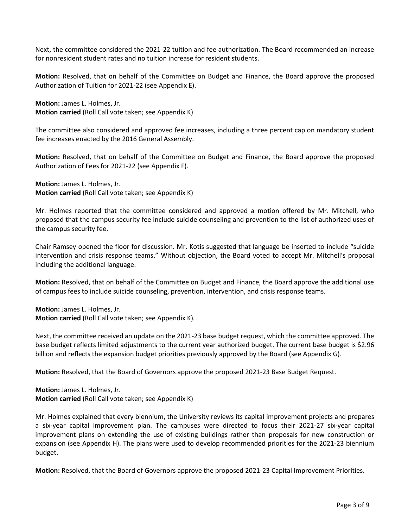Next, the committee considered the 2021-22 tuition and fee authorization. The Board recommended an increase for nonresident student rates and no tuition increase for resident students.

**Motion:** Resolved, that on behalf of the Committee on Budget and Finance, the Board approve the proposed Authorization of Tuition for 2021-22 (see Appendix E).

**Motion:** James L. Holmes, Jr. **Motion carried** (Roll Call vote taken; see Appendix K)

The committee also considered and approved fee increases, including a three percent cap on mandatory student fee increases enacted by the 2016 General Assembly.

**Motion:** Resolved, that on behalf of the Committee on Budget and Finance, the Board approve the proposed Authorization of Fees for 2021-22 (see Appendix F).

**Motion:** James L. Holmes, Jr. **Motion carried** (Roll Call vote taken; see Appendix K)

Mr. Holmes reported that the committee considered and approved a motion offered by Mr. Mitchell, who proposed that the campus security fee include suicide counseling and prevention to the list of authorized uses of the campus security fee.

Chair Ramsey opened the floor for discussion. Mr. Kotis suggested that language be inserted to include "suicide intervention and crisis response teams." Without objection, the Board voted to accept Mr. Mitchell's proposal including the additional language.

**Motion:** Resolved, that on behalf of the Committee on Budget and Finance, the Board approve the additional use of campus fees to include suicide counseling, prevention, intervention, and crisis response teams.

**Motion:** James L. Holmes, Jr. **Motion carried** (Roll Call vote taken; see Appendix K)*.*

Next, the committee received an update on the 2021-23 base budget request, which the committee approved. The base budget reflects limited adjustments to the current year authorized budget. The current base budget is \$2.96 billion and reflects the expansion budget priorities previously approved by the Board (see Appendix G).

**Motion:** Resolved, that the Board of Governors approve the proposed 2021-23 Base Budget Request.

**Motion:** James L. Holmes, Jr. **Motion carried** (Roll Call vote taken; see Appendix K)

Mr. Holmes explained that every biennium, the University reviews its capital improvement projects and prepares a six-year capital improvement plan. The campuses were directed to focus their 2021-27 six-year capital improvement plans on extending the use of existing buildings rather than proposals for new construction or expansion (see Appendix H). The plans were used to develop recommended priorities for the 2021-23 biennium budget.

**Motion:** Resolved, that the Board of Governors approve the proposed 2021-23 Capital Improvement Priorities.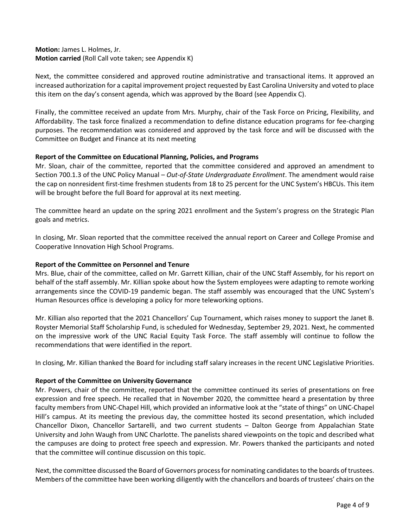## **Motion:** James L. Holmes, Jr. **Motion carried** (Roll Call vote taken; see Appendix K)

Next, the committee considered and approved routine administrative and transactional items. It approved an increased authorization for a capital improvement project requested by East Carolina University and voted to place this item on the day's consent agenda, which was approved by the Board (see Appendix C).

Finally, the committee received an update from Mrs. Murphy, chair of the Task Force on Pricing, Flexibility, and Affordability. The task force finalized a recommendation to define distance education programs for fee-charging purposes. The recommendation was considered and approved by the task force and will be discussed with the Committee on Budget and Finance at its next meeting

## **Report of the Committee on Educational Planning, Policies, and Programs**

Mr. Sloan, chair of the committee, reported that the committee considered and approved an amendment to Section 700.1.3 of the UNC Policy Manual – *Out-of-State Undergraduate Enrollment*. The amendment would raise the cap on nonresident first-time freshmen students from 18 to 25 percent for the UNC System's HBCUs. This item will be brought before the full Board for approval at its next meeting.

The committee heard an update on the spring 2021 enrollment and the System's progress on the Strategic Plan goals and metrics.

In closing, Mr. Sloan reported that the committee received the annual report on Career and College Promise and Cooperative Innovation High School Programs.

## **Report of the Committee on Personnel and Tenure**

Mrs. Blue, chair of the committee, called on Mr. Garrett Killian, chair of the UNC Staff Assembly, for his report on behalf of the staff assembly. Mr. Killian spoke about how the System employees were adapting to remote working arrangements since the COVID-19 pandemic began. The staff assembly was encouraged that the UNC System's Human Resources office is developing a policy for more teleworking options.

Mr. Killian also reported that the 2021 Chancellors' Cup Tournament, which raises money to support the Janet B. Royster Memorial Staff Scholarship Fund, is scheduled for Wednesday, September 29, 2021. Next, he commented on the impressive work of the UNC Racial Equity Task Force. The staff assembly will continue to follow the recommendations that were identified in the report.

In closing, Mr. Killian thanked the Board for including staff salary increases in the recent UNC Legislative Priorities.

## **Report of the Committee on University Governance**

Mr. Powers, chair of the committee, reported that the committee continued its series of presentations on free expression and free speech. He recalled that in November 2020, the committee heard a presentation by three faculty members from UNC-Chapel Hill, which provided an informative look at the "state of things" on UNC-Chapel Hill's campus. At its meeting the previous day, the committee hosted its second presentation, which included Chancellor Dixon, Chancellor Sartarelli, and two current students – Dalton George from Appalachian State University and John Waugh from UNC Charlotte. The panelists shared viewpoints on the topic and described what the campuses are doing to protect free speech and expression. Mr. Powers thanked the participants and noted that the committee will continue discussion on this topic.

Next, the committee discussed the Board of Governors process for nominating candidates to the boards of trustees. Members of the committee have been working diligently with the chancellors and boards of trustees' chairs on the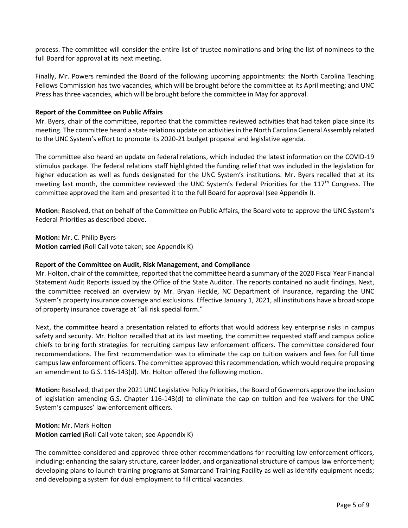process. The committee will consider the entire list of trustee nominations and bring the list of nominees to the full Board for approval at its next meeting.

Finally, Mr. Powers reminded the Board of the following upcoming appointments: the North Carolina Teaching Fellows Commission has two vacancies, which will be brought before the committee at its April meeting; and UNC Press has three vacancies, which will be brought before the committee in May for approval.

### **Report of the Committee on Public Affairs**

Mr. Byers, chair of the committee, reported that the committee reviewed activities that had taken place since its meeting. The committee heard a state relations update on activitiesin the North Carolina General Assembly related to the UNC System's effort to promote its 2020-21 budget proposal and legislative agenda.

The committee also heard an update on federal relations, which included the latest information on the COVID-19 stimulus package. The federal relations staff highlighted the funding relief that was included in the legislation for higher education as well as funds designated for the UNC System's institutions. Mr. Byers recalled that at its meeting last month, the committee reviewed the UNC System's Federal Priorities for the 117<sup>th</sup> Congress. The committee approved the item and presented it to the full Board for approval (see Appendix I).

**Motion**: Resolved, that on behalf of the Committee on Public Affairs, the Board vote to approve the UNC System's Federal Priorities as described above.

**Motion:** Mr. C. Philip Byers **Motion carried** (Roll Call vote taken; see Appendix K)

### **Report of the Committee on Audit, Risk Management, and Compliance**

Mr. Holton, chair of the committee, reported that the committee heard a summary of the 2020 Fiscal Year Financial Statement Audit Reports issued by the Office of the State Auditor. The reports contained no audit findings. Next, the committee received an overview by Mr. Bryan Heckle, NC Department of Insurance, regarding the UNC System's property insurance coverage and exclusions. Effective January 1, 2021, all institutions have a broad scope of property insurance coverage at "all risk special form."

Next, the committee heard a presentation related to efforts that would address key enterprise risks in campus safety and security. Mr. Holton recalled that at its last meeting, the committee requested staff and campus police chiefs to bring forth strategies for recruiting campus law enforcement officers. The committee considered four recommendations. The first recommendation was to eliminate the cap on tuition waivers and fees for full time campus law enforcement officers. The committee approved this recommendation, which would require proposing an amendment to G.S. 116-143(d). Mr. Holton offered the following motion.

**Motion:** Resolved, that per the 2021 UNC Legislative Policy Priorities, the Board of Governors approve the inclusion of legislation amending G.S. Chapter 116-143(d) to eliminate the cap on tuition and fee waivers for the UNC System's campuses' law enforcement officers.

**Motion:** Mr. Mark Holton **Motion carried** (Roll Call vote taken; see Appendix K)

The committee considered and approved three other recommendations for recruiting law enforcement officers, including: enhancing the salary structure, career ladder, and organizational structure of campus law enforcement; developing plans to launch training programs at Samarcand Training Facility as well as identify equipment needs; and developing a system for dual employment to fill critical vacancies.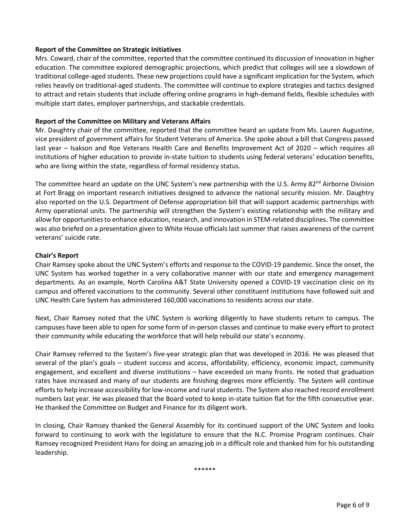### **Report of the Committee on Strategic Initiatives**

Mrs. Coward, chair of the committee, reported that the committee continued its discussion of innovation in higher education. The committee explored demographic projections, which predict that colleges will see a slowdown of traditional college-aged students. These new projections could have a significant implication for the System, which relies heavily on traditional-aged students. The committee will continue to explore strategies and tactics designed to attract and retain students that include offering online programs in high-demand fields, flexible schedules with multiple start dates, employer partnerships, and stackable credentials.

### **Report of the Committee on Military and Veterans Affairs**

Mr. Daughtry chair of the committee, reported that the committee heard an update from Ms. Lauren Augustine, vice president of government affairs for Student Veterans of America. She spoke about a bill that Congress passed last year – Isakson and Roe Veterans Health Care and Benefits Improvement Act of 2020 – which requires all institutions of higher education to provide in-state tuition to students using federal veterans' education benefits, who are living within the state, regardless of formal residency status.

The committee heard an update on the UNC System's new partnership with the U.S. Army 82<sup>nd</sup> Airborne Division at Fort Bragg on important research initiatives designed to advance the national security mission. Mr. Daughtry also reported on the U.S. Department of Defense appropriation bill that will support academic partnerships with Army operational units. The partnership will strengthen the System's existing relationship with the military and allow for opportunities to enhance education, research, and innovation in STEM-related disciplines. The committee was also briefed on a presentation given to White House officials last summer that raises awareness of the current veterans' suicide rate.

### **Chair's Report**

Chair Ramsey spoke about the UNC System's efforts and response to the COVID-19 pandemic. Since the onset, the UNC System has worked together in a very collaborative manner with our state and emergency management departments. As an example, North Carolina A&T State University opened a COVID-19 vaccination clinic on its campus and offered vaccinations to the community. Several other constituent institutions have followed suit and UNC Health Care System has administered 160,000 vaccinations to residents across our state.

Next, Chair Ramsey noted that the UNC System is working diligently to have students return to campus. The campuses have been able to open for some form of in-person classes and continue to make every effort to protect their community while educating the workforce that will help rebuild our state's economy.

Chair Ramsey referred to the System's five-year strategic plan that was developed in 2016. He was pleased that several of the plan's goals – student success and access, affordability, efficiency, economic impact, community engagement, and excellent and diverse institutions – have exceeded on many fronts. He noted that graduation rates have increased and many of our students are finishing degrees more efficiently. The System will continue efforts to help increase accessibility for low-income and rural students. The System also reached record enrollment numbers last year. He was pleased that the Board voted to keep in-state tuition flat for the fifth consecutive year. He thanked the Committee on Budget and Finance for its diligent work.

In closing, Chair Ramsey thanked the General Assembly for its continued support of the UNC System and looks forward to continuing to work with the legislature to ensure that the N.C. Promise Program continues. Chair Ramsey recognized President Hans for doing an amazing job in a difficult role and thanked him for his outstanding leadership.

\*\*\*\*\*\*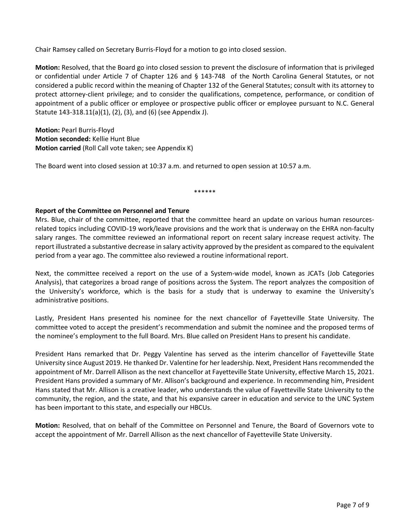Chair Ramsey called on Secretary Burris-Floyd for a motion to go into closed session.

**Motion:** Resolved, that the Board go into closed session to prevent the disclosure of information that is privileged or confidential under Article 7 of Chapter 126 and § 143-748 of the North Carolina General Statutes, or not considered a public record within the meaning of Chapter 132 of the General Statutes; consult with its attorney to protect attorney-client privilege; and to consider the qualifications, competence, performance, or condition of appointment of a public officer or employee or prospective public officer or employee pursuant to N.C. General Statute 143-318.11(a)(1), (2), (3), and (6) (see Appendix J).

**Motion:** Pearl Burris-Floyd **Motion seconded:** Kellie Hunt Blue **Motion carried** (Roll Call vote taken; see Appendix K)

The Board went into closed session at 10:37 a.m. and returned to open session at 10:57 a.m.

\*\*\*\*\*\*

## **Report of the Committee on Personnel and Tenure**

Mrs. Blue, chair of the committee, reported that the committee heard an update on various human resourcesrelated topics including COVID-19 work/leave provisions and the work that is underway on the EHRA non-faculty salary ranges. The committee reviewed an informational report on recent salary increase request activity. The report illustrated a substantive decrease in salary activity approved by the president as compared to the equivalent period from a year ago. The committee also reviewed a routine informational report.

Next, the committee received a report on the use of a System-wide model, known as JCATs (Job Categories Analysis), that categorizes a broad range of positions across the System. The report analyzes the composition of the University's workforce, which is the basis for a study that is underway to examine the University's administrative positions.

Lastly, President Hans presented his nominee for the next chancellor of Fayetteville State University. The committee voted to accept the president's recommendation and submit the nominee and the proposed terms of the nominee's employment to the full Board. Mrs. Blue called on President Hans to present his candidate.

President Hans remarked that Dr. Peggy Valentine has served as the interim chancellor of Fayetteville State University since August 2019. He thanked Dr. Valentine for her leadership. Next, President Hans recommended the appointment of Mr. Darrell Allison as the next chancellor at Fayetteville State University, effective March 15, 2021. President Hans provided a summary of Mr. Allison's background and experience. In recommending him, President Hans stated that Mr. Allison is a creative leader, who understands the value of Fayetteville State University to the community, the region, and the state, and that his expansive career in education and service to the UNC System has been important to this state, and especially our HBCUs.

**Motion:** Resolved, that on behalf of the Committee on Personnel and Tenure, the Board of Governors vote to accept the appointment of Mr. Darrell Allison as the next chancellor of Fayetteville State University.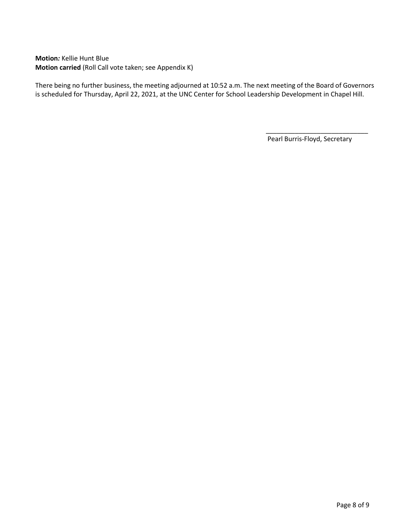**Motion***:* Kellie Hunt Blue **Motion carried** (Roll Call vote taken; see Appendix K)

There being no further business, the meeting adjourned at 10:52 a.m. The next meeting of the Board of Governors is scheduled for Thursday, April 22, 2021, at the UNC Center for School Leadership Development in Chapel Hill.

Pearl Burris-Floyd, Secretary

 $\overline{\phantom{a}}$  ,  $\overline{\phantom{a}}$  ,  $\overline{\phantom{a}}$  ,  $\overline{\phantom{a}}$  ,  $\overline{\phantom{a}}$  ,  $\overline{\phantom{a}}$  ,  $\overline{\phantom{a}}$  ,  $\overline{\phantom{a}}$  ,  $\overline{\phantom{a}}$  ,  $\overline{\phantom{a}}$  ,  $\overline{\phantom{a}}$  ,  $\overline{\phantom{a}}$  ,  $\overline{\phantom{a}}$  ,  $\overline{\phantom{a}}$  ,  $\overline{\phantom{a}}$  ,  $\overline{\phantom{a}}$